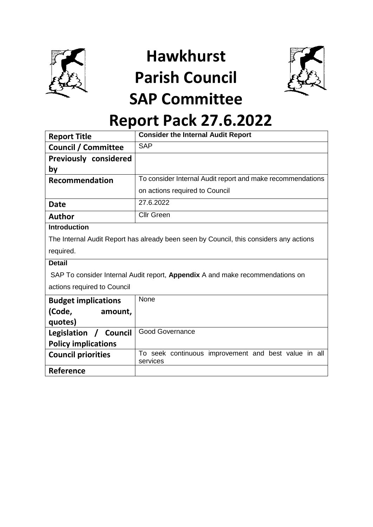

**Hawkhurst Parish Council SAP Committee** 



# **Report Pack 27.6.2022**

| <b>Report Title</b>                                                           | <b>Consider the Internal Audit Report</b>                                              |  |
|-------------------------------------------------------------------------------|----------------------------------------------------------------------------------------|--|
| <b>Council / Committee</b>                                                    | <b>SAP</b>                                                                             |  |
| <b>Previously considered</b>                                                  |                                                                                        |  |
| by                                                                            |                                                                                        |  |
| <b>Recommendation</b>                                                         | To consider Internal Audit report and make recommendations                             |  |
|                                                                               | on actions required to Council                                                         |  |
| <b>Date</b>                                                                   | 27.6.2022                                                                              |  |
| <b>Author</b>                                                                 | <b>Cllr Green</b>                                                                      |  |
| <b>Introduction</b>                                                           |                                                                                        |  |
|                                                                               | The Internal Audit Report has already been seen by Council, this considers any actions |  |
| required.                                                                     |                                                                                        |  |
| <b>Detail</b>                                                                 |                                                                                        |  |
| SAP To consider Internal Audit report, Appendix A and make recommendations on |                                                                                        |  |
| actions required to Council                                                   |                                                                                        |  |
| <b>Budget implications</b>                                                    | None                                                                                   |  |
| (Code,<br>amount,                                                             |                                                                                        |  |
| quotes)                                                                       |                                                                                        |  |
| Legislation<br>Council                                                        | <b>Good Governance</b>                                                                 |  |
| <b>Policy implications</b>                                                    |                                                                                        |  |
| <b>Council priorities</b>                                                     | To seek continuous improvement and best value in all                                   |  |
| Reference                                                                     | services                                                                               |  |
|                                                                               |                                                                                        |  |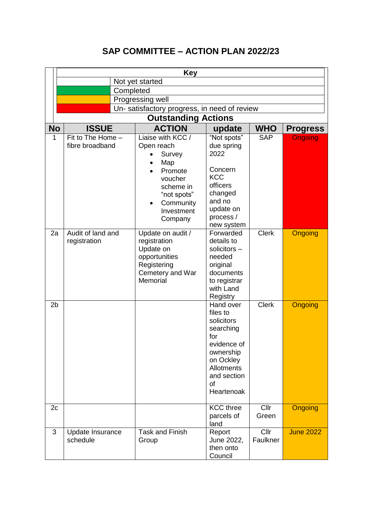# **SAP COMMITTEE – ACTION PLAN 2022/23**

|                | <b>Key</b>                             |                                                                                                                 |                                                                                                                                                   |                  |                  |
|----------------|----------------------------------------|-----------------------------------------------------------------------------------------------------------------|---------------------------------------------------------------------------------------------------------------------------------------------------|------------------|------------------|
|                | Not yet started                        |                                                                                                                 |                                                                                                                                                   |                  |                  |
|                | Completed                              |                                                                                                                 |                                                                                                                                                   |                  |                  |
|                |                                        | Progressing well                                                                                                |                                                                                                                                                   |                  |                  |
|                |                                        | Un- satisfactory progress, in need of review                                                                    |                                                                                                                                                   |                  |                  |
|                |                                        | <b>Outstanding Actions</b>                                                                                      |                                                                                                                                                   |                  |                  |
| <b>No</b>      | <b>ISSUE</b>                           | <b>ACTION</b>                                                                                                   | update                                                                                                                                            | <b>WHO</b>       | <b>Progress</b>  |
| 1              | Fit to The Home $-$<br>fibre broadband | Liaise with KCC /<br>Open reach<br>Survey<br>Map<br>Promote<br>voucher<br>scheme in<br>"not spots"<br>Community | "Not spots"<br>due spring<br>2022<br>Concern<br><b>KCC</b><br>officers<br>changed<br>and no                                                       | <b>SAP</b>       | <b>Ongoing</b>   |
|                |                                        | Investment<br>Company                                                                                           | update on<br>process /<br>new system                                                                                                              |                  |                  |
| 2a             | Audit of land and<br>registration      | Update on audit /<br>registration<br>Update on<br>opportunities<br>Registering<br>Cemetery and War<br>Memorial  | Forwarded<br>details to<br>solicitors-<br>needed<br>original<br>documents<br>to registrar<br>with Land<br>Registry                                | <b>Clerk</b>     | <b>Ongoing</b>   |
| 2 <sub>b</sub> |                                        |                                                                                                                 | Hand over<br>files to<br>solicitors<br>searching<br>for<br>evidence of<br>ownership<br>on Ockley<br>Allotments<br>and section<br>of<br>Heartenoak | <b>Clerk</b>     | <b>Ongoing</b>   |
| 2c             |                                        |                                                                                                                 | <b>KCC</b> three<br>parcels of<br>land                                                                                                            | Cllr<br>Green    | Ongoing          |
| 3              | Update Insurance<br>schedule           | <b>Task and Finish</b><br>Group                                                                                 | Report<br>June 2022,<br>then onto<br>Council                                                                                                      | Cllr<br>Faulkner | <b>June 2022</b> |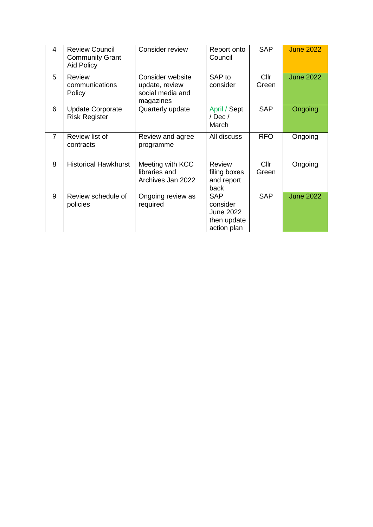| 4              | <b>Review Council</b><br><b>Community Grant</b><br><b>Aid Policy</b> | Consider review                                                     | Report onto<br>Council                                            | <b>SAP</b>    | <b>June 2022</b> |
|----------------|----------------------------------------------------------------------|---------------------------------------------------------------------|-------------------------------------------------------------------|---------------|------------------|
| 5              | <b>Review</b><br>communications<br>Policy                            | Consider website<br>update, review<br>social media and<br>magazines | SAP to<br>consider                                                | Cllr<br>Green | <b>June 2022</b> |
| 6              | <b>Update Corporate</b><br><b>Risk Register</b>                      | Quarterly update                                                    | April / Sept<br>/Dec/<br>March                                    | <b>SAP</b>    | Ongoing          |
| $\overline{7}$ | Review list of<br>contracts                                          | Review and agree<br>programme                                       | All discuss                                                       | <b>RFO</b>    | Ongoing          |
| 8              | <b>Historical Hawkhurst</b>                                          | Meeting with KCC<br>libraries and<br>Archives Jan 2022              | <b>Review</b><br>filing boxes<br>and report<br>back               | Cllr<br>Green | Ongoing          |
| 9              | Review schedule of<br>policies                                       | Ongoing review as<br>required                                       | <b>SAP</b><br>consider<br>June 2022<br>then update<br>action plan | <b>SAP</b>    | <b>June 2022</b> |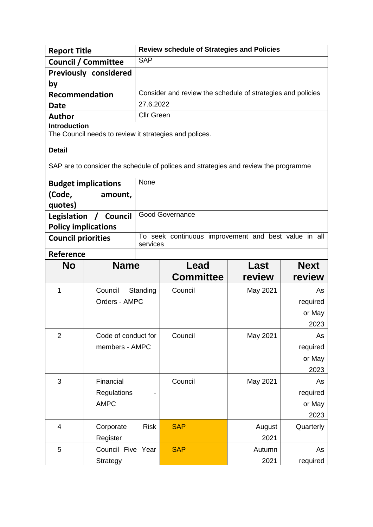| <b>Report Title</b>                                                                           |                              |                   | <b>Review schedule of Strategies and Policies</b>                                   |          |             |
|-----------------------------------------------------------------------------------------------|------------------------------|-------------------|-------------------------------------------------------------------------------------|----------|-------------|
|                                                                                               | <b>Council / Committee</b>   | <b>SAP</b>        |                                                                                     |          |             |
|                                                                                               | <b>Previously considered</b> |                   |                                                                                     |          |             |
| by                                                                                            |                              |                   |                                                                                     |          |             |
| <b>Recommendation</b>                                                                         |                              |                   | Consider and review the schedule of strategies and policies                         |          |             |
| <b>Date</b>                                                                                   |                              | 27.6.2022         |                                                                                     |          |             |
| <b>Author</b>                                                                                 |                              | <b>Cllr Green</b> |                                                                                     |          |             |
| <b>Introduction</b>                                                                           |                              |                   | The Council needs to review it strategies and polices.                              |          |             |
| <b>Detail</b>                                                                                 |                              |                   | SAP are to consider the schedule of polices and strategies and review the programme |          |             |
|                                                                                               | <b>Budget implications</b>   | None              |                                                                                     |          |             |
| (Code,                                                                                        | amount,                      |                   |                                                                                     |          |             |
| quotes)                                                                                       |                              |                   |                                                                                     |          |             |
| Legislation                                                                                   | / Council                    |                   | <b>Good Governance</b>                                                              |          |             |
|                                                                                               | <b>Policy implications</b>   |                   |                                                                                     |          |             |
| To seek continuous improvement and best value in all<br><b>Council priorities</b><br>services |                              |                   |                                                                                     |          |             |
| <b>Reference</b>                                                                              |                              |                   |                                                                                     |          |             |
| <b>No</b>                                                                                     | <b>Name</b>                  |                   | Lead                                                                                | Last     | <b>Next</b> |
|                                                                                               |                              |                   | <b>Committee</b>                                                                    | review   | review      |
| 1                                                                                             | Council                      | Standing          | Council                                                                             | May 2021 | As          |
|                                                                                               | Orders - AMPC                |                   |                                                                                     |          | required    |
|                                                                                               |                              |                   |                                                                                     |          | or May      |
|                                                                                               |                              |                   |                                                                                     |          | 2023        |
| $\overline{2}$                                                                                | Code of conduct for          |                   | Council                                                                             | May 2021 | As          |
|                                                                                               | members - AMPC               |                   |                                                                                     |          | required    |
|                                                                                               |                              |                   |                                                                                     |          | or May      |
|                                                                                               |                              |                   |                                                                                     |          | 2023        |
| 3                                                                                             | Financial                    |                   | Council                                                                             | May 2021 | As          |
|                                                                                               | Regulations                  |                   |                                                                                     |          | required    |
|                                                                                               | <b>AMPC</b>                  |                   |                                                                                     |          | or May      |
|                                                                                               |                              |                   |                                                                                     |          | 2023        |
| 4                                                                                             | Corporate                    | <b>Risk</b>       | <b>SAP</b>                                                                          | August   | Quarterly   |
|                                                                                               | Register                     |                   |                                                                                     | 2021     |             |
| 5                                                                                             | Council Five Year            |                   | <b>SAP</b>                                                                          | Autumn   | As          |
|                                                                                               | Strategy                     |                   |                                                                                     | 2021     | required    |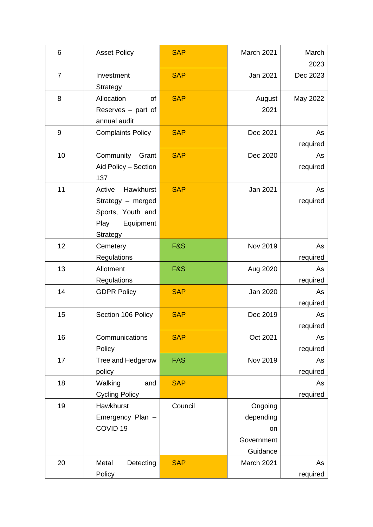| 6              | <b>Asset Policy</b>                                                                            | <b>SAP</b>     | March 2021                                           | March<br>2023  |
|----------------|------------------------------------------------------------------------------------------------|----------------|------------------------------------------------------|----------------|
| $\overline{7}$ | Investment<br>Strategy                                                                         | <b>SAP</b>     | Jan 2021                                             | Dec 2023       |
| 8              | Allocation<br>of<br>Reserves $-$ part of<br>annual audit                                       | <b>SAP</b>     | August<br>2021                                       | May 2022       |
| 9              | <b>Complaints Policy</b>                                                                       | <b>SAP</b>     | Dec 2021                                             | As<br>required |
| 10             | Community<br>Grant<br>Aid Policy - Section<br>137                                              | <b>SAP</b>     | Dec 2020                                             | As<br>required |
| 11             | Hawkhurst<br>Active<br>Strategy - merged<br>Sports, Youth and<br>Equipment<br>Play<br>Strategy | <b>SAP</b>     | Jan 2021                                             | As<br>required |
| 12             | Cemetery<br>Regulations                                                                        | <b>F&amp;S</b> | Nov 2019                                             | As<br>required |
| 13             | Allotment<br>Regulations                                                                       | <b>F&amp;S</b> | Aug 2020                                             | As<br>required |
| 14             | <b>GDPR Policy</b>                                                                             | <b>SAP</b>     | Jan 2020                                             | As<br>required |
| 15             | Section 106 Policy                                                                             | <b>SAP</b>     | Dec 2019                                             | As<br>required |
| 16             | Communications<br>Policy                                                                       | <b>SAP</b>     | Oct 2021                                             | As<br>required |
| 17             | Tree and Hedgerow<br>policy                                                                    | <b>FAS</b>     | Nov 2019                                             | As<br>required |
| 18             | Walking<br>and<br><b>Cycling Policy</b>                                                        | <b>SAP</b>     |                                                      | As<br>required |
| 19             | Hawkhurst<br>Emergency Plan -<br>COVID <sub>19</sub>                                           | Council        | Ongoing<br>depending<br>on<br>Government<br>Guidance |                |
| 20             | Detecting<br>Metal<br>Policy                                                                   | <b>SAP</b>     | March 2021                                           | As<br>required |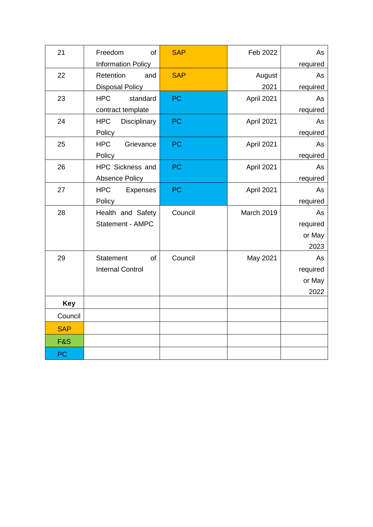| 21             | Freedom<br>of                 | <b>SAP</b> | Feb 2022   | As       |
|----------------|-------------------------------|------------|------------|----------|
|                | <b>Information Policy</b>     |            |            | required |
| 22             | Retention<br>and              | <b>SAP</b> | August     | As       |
|                | <b>Disposal Policy</b>        |            | 2021       | required |
| 23             | <b>HPC</b><br>standard        | PC         | April 2021 | As       |
|                | contract template             |            |            | required |
| 24             | <b>HPC</b><br>Disciplinary    | <b>PC</b>  | April 2021 | As       |
|                | Policy                        |            |            | required |
| 25             | <b>HPC</b><br>Grievance       | <b>PC</b>  | April 2021 | As       |
|                | Policy                        |            |            | required |
| 26             | HPC Sickness and              | <b>PC</b>  | April 2021 | As       |
|                | <b>Absence Policy</b>         |            |            | required |
| 27             | <b>HPC</b><br><b>Expenses</b> | <b>PC</b>  | April 2021 | As       |
|                | Policy                        |            |            | required |
| 28             | Health and Safety             | Council    | March 2019 | As       |
|                | Statement - AMPC              |            |            | required |
|                |                               |            |            | or May   |
|                |                               |            |            | 2023     |
| 29             | <b>Statement</b><br>of        | Council    | May 2021   | As       |
|                | <b>Internal Control</b>       |            |            | required |
|                |                               |            |            | or May   |
|                |                               |            |            | 2022     |
| <b>Key</b>     |                               |            |            |          |
| Council        |                               |            |            |          |
| <b>SAP</b>     |                               |            |            |          |
| <b>F&amp;S</b> |                               |            |            |          |
| <b>PC</b>      |                               |            |            |          |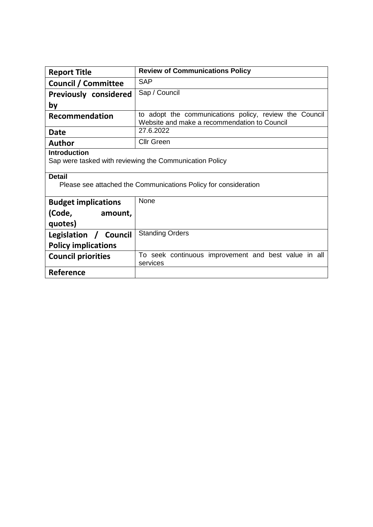| <b>Report Title</b>                                                                                                                                         | <b>Review of Communications Policy</b>                                                                 |  |  |
|-------------------------------------------------------------------------------------------------------------------------------------------------------------|--------------------------------------------------------------------------------------------------------|--|--|
| <b>Council / Committee</b>                                                                                                                                  | <b>SAP</b>                                                                                             |  |  |
| <b>Previously considered</b>                                                                                                                                | Sap / Council                                                                                          |  |  |
| by                                                                                                                                                          |                                                                                                        |  |  |
| <b>Recommendation</b>                                                                                                                                       | to adopt the communications policy, review the Council<br>Website and make a recommendation to Council |  |  |
| Date                                                                                                                                                        | 27.6.2022                                                                                              |  |  |
| <b>Author</b>                                                                                                                                               | <b>Cllr Green</b>                                                                                      |  |  |
| <b>Introduction</b><br>Sap were tasked with reviewing the Communication Policy<br>Detail<br>Please see attached the Communications Policy for consideration |                                                                                                        |  |  |
| <b>Budget implications</b>                                                                                                                                  | None                                                                                                   |  |  |
| (Code,<br>amount,<br>quotes)                                                                                                                                |                                                                                                        |  |  |
| Legislation / Council                                                                                                                                       | <b>Standing Orders</b>                                                                                 |  |  |
| <b>Policy implications</b>                                                                                                                                  |                                                                                                        |  |  |
| <b>Council priorities</b>                                                                                                                                   | To seek continuous improvement and best value in all<br>services                                       |  |  |
| Reference                                                                                                                                                   |                                                                                                        |  |  |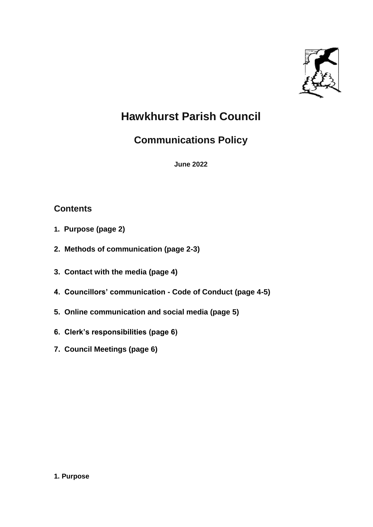

# **Hawkhurst Parish Council**

# **Communications Policy**

**June 2022**

# **Contents**

- **1. Purpose (page 2)**
- **2. Methods of communication (page 2-3)**
- **3. Contact with the media (page 4)**
- **4. Councillors' communication - Code of Conduct (page 4-5)**
- **5. Online communication and social media (page 5)**
- **6. Clerk's responsibilities (page 6)**
- **7. Council Meetings (page 6)**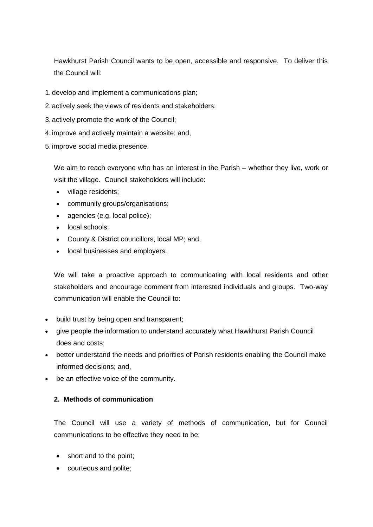Hawkhurst Parish Council wants to be open, accessible and responsive. To deliver this the Council will:

- 1. develop and implement a communications plan;
- 2. actively seek the views of residents and stakeholders;
- 3. actively promote the work of the Council;
- 4. improve and actively maintain a website; and,
- 5. improve social media presence.

We aim to reach everyone who has an interest in the Parish – whether they live, work or visit the village. Council stakeholders will include:

- village residents;
- community groups/organisations;
- agencies (e.g. local police);
- local schools;
- County & District councillors, local MP; and,
- local businesses and employers.

We will take a proactive approach to communicating with local residents and other stakeholders and encourage comment from interested individuals and groups. Two-way communication will enable the Council to:

- build trust by being open and transparent:
- give people the information to understand accurately what Hawkhurst Parish Council does and costs;
- better understand the needs and priorities of Parish residents enabling the Council make informed decisions; and,
- be an effective voice of the community.

### **2. Methods of communication**

The Council will use a variety of methods of communication, but for Council communications to be effective they need to be:

- short and to the point;
- courteous and polite;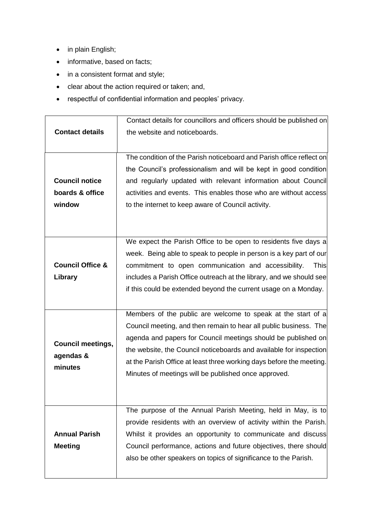- in plain English;
- informative, based on facts;
- in a consistent format and style;
- clear about the action required or taken; and,
- respectful of confidential information and peoples' privacy.

|                             | Contact details for councillors and officers should be published on  |
|-----------------------------|----------------------------------------------------------------------|
| <b>Contact details</b>      | the website and noticeboards.                                        |
|                             |                                                                      |
|                             | The condition of the Parish noticeboard and Parish office reflect on |
|                             | the Council's professionalism and will be kept in good condition     |
| <b>Council notice</b>       | and regularly updated with relevant information about Council        |
| boards & office             | activities and events. This enables those who are without access     |
| window                      | to the internet to keep aware of Council activity.                   |
|                             |                                                                      |
|                             |                                                                      |
|                             | We expect the Parish Office to be open to residents five days a      |
|                             |                                                                      |
|                             | week. Being able to speak to people in person is a key part of our   |
| <b>Council Office &amp;</b> | commitment to open communication and accessibility.<br><b>This</b>   |
| Library                     | includes a Parish Office outreach at the library, and we should see  |
|                             | if this could be extended beyond the current usage on a Monday.      |
|                             |                                                                      |
|                             | Members of the public are welcome to speak at the start of a         |
|                             | Council meeting, and then remain to hear all public business. The    |
| <b>Council meetings,</b>    | agenda and papers for Council meetings should be published on        |
| agendas &                   | the website, the Council noticeboards and available for inspection   |
| minutes                     | at the Parish Office at least three working days before the meeting. |
|                             |                                                                      |
|                             | Minutes of meetings will be published once approved.                 |
|                             |                                                                      |
|                             |                                                                      |
|                             | The purpose of the Annual Parish Meeting, held in May, is to         |
|                             | provide residents with an overview of activity within the Parish.    |
| <b>Annual Parish</b>        | Whilst it provides an opportunity to communicate and discuss         |
| <b>Meeting</b>              | Council performance, actions and future objectives, there should     |
|                             | also be other speakers on topics of significance to the Parish.      |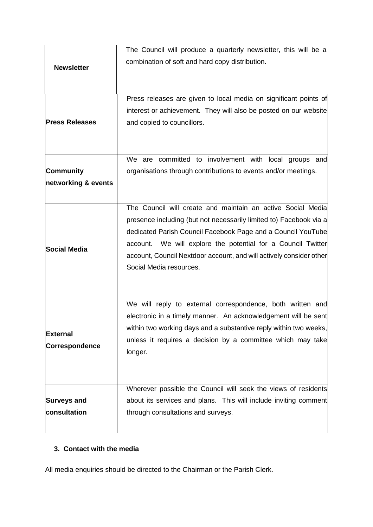|                                    | The Council will produce a quarterly newsletter, this will be a                                                                                                                                                                                                                                                                                                     |
|------------------------------------|---------------------------------------------------------------------------------------------------------------------------------------------------------------------------------------------------------------------------------------------------------------------------------------------------------------------------------------------------------------------|
| <b>Newsletter</b>                  | combination of soft and hard copy distribution.                                                                                                                                                                                                                                                                                                                     |
| <b>Press Releases</b>              | Press releases are given to local media on significant points of<br>interest or achievement. They will also be posted on our website<br>and copied to councillors.                                                                                                                                                                                                  |
| Community<br>networking & events   | We are committed to involvement with local groups and<br>organisations through contributions to events and/or meetings.                                                                                                                                                                                                                                             |
| Social Media                       | The Council will create and maintain an active Social Media<br>presence including (but not necessarily limited to) Facebook via a<br>dedicated Parish Council Facebook Page and a Council YouTube<br>account. We will explore the potential for a Council Twitter<br>account, Council Nextdoor account, and will actively consider other<br>Social Media resources. |
| External<br><b>Correspondence</b>  | We will reply to external correspondence, both written and<br>electronic in a timely manner. An acknowledgement will be sent<br>within two working days and a substantive reply within two weeks,<br>unless it requires a decision by a committee which may take<br>longer.                                                                                         |
| <b>Surveys and</b><br>consultation | Wherever possible the Council will seek the views of residents<br>about its services and plans. This will include inviting comment<br>through consultations and surveys.                                                                                                                                                                                            |

# **3. Contact with the media**

All media enquiries should be directed to the Chairman or the Parish Clerk.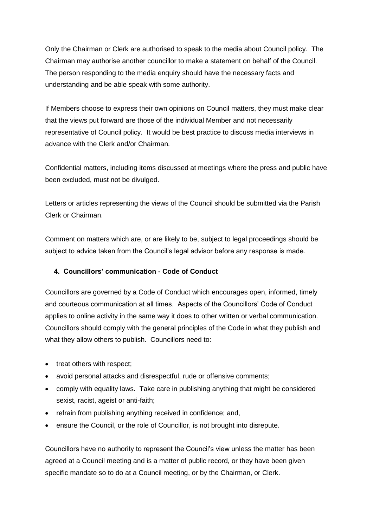Only the Chairman or Clerk are authorised to speak to the media about Council policy. The Chairman may authorise another councillor to make a statement on behalf of the Council. The person responding to the media enquiry should have the necessary facts and understanding and be able speak with some authority.

If Members choose to express their own opinions on Council matters, they must make clear that the views put forward are those of the individual Member and not necessarily representative of Council policy. It would be best practice to discuss media interviews in advance with the Clerk and/or Chairman.

Confidential matters, including items discussed at meetings where the press and public have been excluded, must not be divulged.

Letters or articles representing the views of the Council should be submitted via the Parish Clerk or Chairman.

Comment on matters which are, or are likely to be, subject to legal proceedings should be subject to advice taken from the Council's legal advisor before any response is made.

## **4. Councillors' communication - Code of Conduct**

Councillors are governed by a Code of Conduct which encourages open, informed, timely and courteous communication at all times. Aspects of the Councillors' Code of Conduct applies to online activity in the same way it does to other written or verbal communication. Councillors should comply with the general principles of the Code in what they publish and what they allow others to publish. Councillors need to:

- treat others with respect;
- avoid personal attacks and disrespectful, rude or offensive comments;
- comply with equality laws. Take care in publishing anything that might be considered sexist, racist, ageist or anti-faith;
- refrain from publishing anything received in confidence; and,
- ensure the Council, or the role of Councillor, is not brought into disrepute.

Councillors have no authority to represent the Council's view unless the matter has been agreed at a Council meeting and is a matter of public record, or they have been given specific mandate so to do at a Council meeting, or by the Chairman, or Clerk.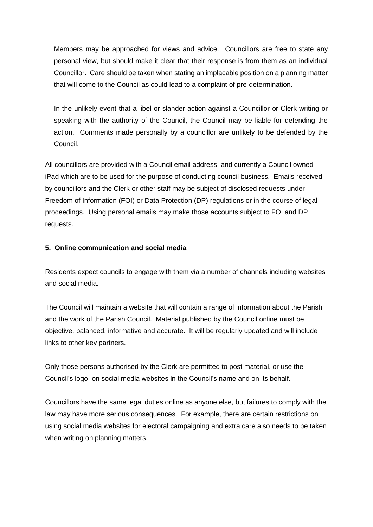Members may be approached for views and advice. Councillors are free to state any personal view, but should make it clear that their response is from them as an individual Councillor. Care should be taken when stating an implacable position on a planning matter that will come to the Council as could lead to a complaint of pre-determination.

In the unlikely event that a libel or slander action against a Councillor or Clerk writing or speaking with the authority of the Council, the Council may be liable for defending the action. Comments made personally by a councillor are unlikely to be defended by the Council.

All councillors are provided with a Council email address, and currently a Council owned iPad which are to be used for the purpose of conducting council business. Emails received by councillors and the Clerk or other staff may be subject of disclosed requests under Freedom of Information (FOI) or Data Protection (DP) regulations or in the course of legal proceedings. Using personal emails may make those accounts subject to FOI and DP requests.

### **5. Online communication and social media**

Residents expect councils to engage with them via a number of channels including websites and social media.

The Council will maintain a website that will contain a range of information about the Parish and the work of the Parish Council. Material published by the Council online must be objective, balanced, informative and accurate. It will be regularly updated and will include links to other key partners.

Only those persons authorised by the Clerk are permitted to post material, or use the Council's logo, on social media websites in the Council's name and on its behalf.

Councillors have the same legal duties online as anyone else, but failures to comply with the law may have more serious consequences. For example, there are certain restrictions on using social media websites for electoral campaigning and extra care also needs to be taken when writing on planning matters.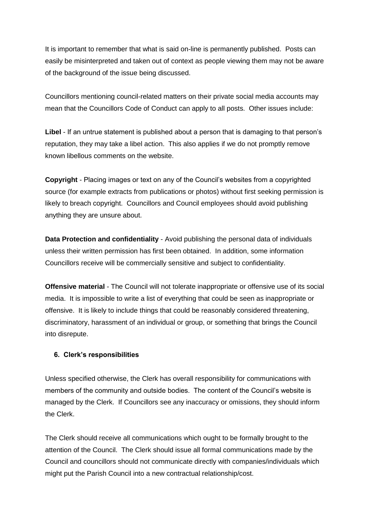It is important to remember that what is said on-line is permanently published. Posts can easily be misinterpreted and taken out of context as people viewing them may not be aware of the background of the issue being discussed.

Councillors mentioning council-related matters on their private social media accounts may mean that the Councillors Code of Conduct can apply to all posts. Other issues include:

**Libel** - If an untrue statement is published about a person that is damaging to that person's reputation, they may take a libel action. This also applies if we do not promptly remove known libellous comments on the website.

**Copyright** - Placing images or text on any of the Council's websites from a copyrighted source (for example extracts from publications or photos) without first seeking permission is likely to breach copyright. Councillors and Council employees should avoid publishing anything they are unsure about.

**Data Protection and confidentiality** - Avoid publishing the personal data of individuals unless their written permission has first been obtained. In addition, some information Councillors receive will be commercially sensitive and subject to confidentiality.

**Offensive material** - The Council will not tolerate inappropriate or offensive use of its social media. It is impossible to write a list of everything that could be seen as inappropriate or offensive. It is likely to include things that could be reasonably considered threatening, discriminatory, harassment of an individual or group, or something that brings the Council into disrepute.

### **6. Clerk's responsibilities**

Unless specified otherwise, the Clerk has overall responsibility for communications with members of the community and outside bodies. The content of the Council's website is managed by the Clerk. If Councillors see any inaccuracy or omissions, they should inform the Clerk.

The Clerk should receive all communications which ought to be formally brought to the attention of the Council. The Clerk should issue all formal communications made by the Council and councillors should not communicate directly with companies/individuals which might put the Parish Council into a new contractual relationship/cost.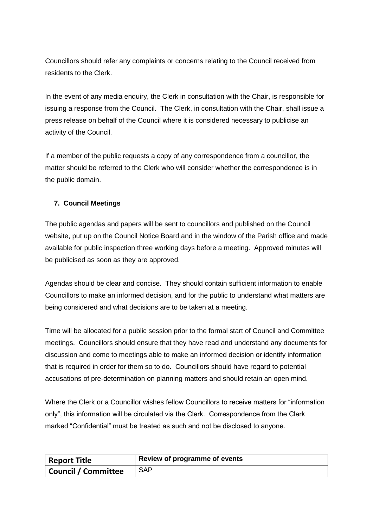Councillors should refer any complaints or concerns relating to the Council received from residents to the Clerk.

In the event of any media enquiry, the Clerk in consultation with the Chair, is responsible for issuing a response from the Council. The Clerk, in consultation with the Chair, shall issue a press release on behalf of the Council where it is considered necessary to publicise an activity of the Council.

If a member of the public requests a copy of any correspondence from a councillor, the matter should be referred to the Clerk who will consider whether the correspondence is in the public domain.

## **7. Council Meetings**

The public agendas and papers will be sent to councillors and published on the Council website, put up on the Council Notice Board and in the window of the Parish office and made available for public inspection three working days before a meeting. Approved minutes will be publicised as soon as they are approved.

Agendas should be clear and concise. They should contain sufficient information to enable Councillors to make an informed decision, and for the public to understand what matters are being considered and what decisions are to be taken at a meeting.

Time will be allocated for a public session prior to the formal start of Council and Committee meetings. Councillors should ensure that they have read and understand any documents for discussion and come to meetings able to make an informed decision or identify information that is required in order for them so to do. Councillors should have regard to potential accusations of pre-determination on planning matters and should retain an open mind.

Where the Clerk or a Councillor wishes fellow Councillors to receive matters for "information only", this information will be circulated via the Clerk. Correspondence from the Clerk marked "Confidential" must be treated as such and not be disclosed to anyone.

| <b>Report Title</b>        | Review of programme of events |
|----------------------------|-------------------------------|
| <b>Council / Committee</b> | <b>SAP</b>                    |